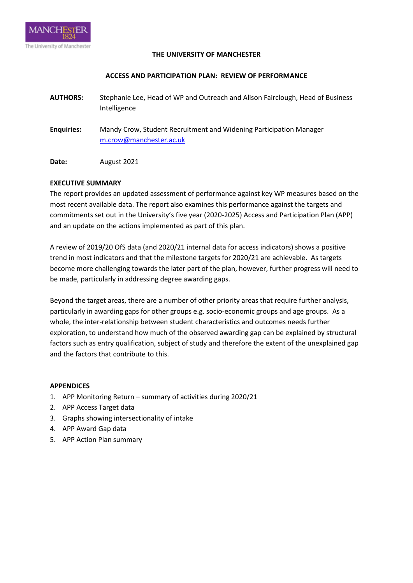

#### **THE UNIVERSITY OF MANCHESTER**

#### **ACCESS AND PARTICIPATION PLAN: REVIEW OF PERFORMANCE**

- **AUTHORS:** Stephanie Lee, Head of WP and Outreach and Alison Fairclough, Head of Business Intelligence
- **Enquiries:** Mandy Crow, Student Recruitment and Widening Participation Manager [m.crow@manchester.ac.uk](mailto:m.crow@manchester.ac.uk)

**Date:** August 2021

### **EXECUTIVE SUMMARY**

The report provides an updated assessment of performance against key WP measures based on the most recent available data. The report also examines this performance against the targets and commitments set out in the University's five year (2020-2025) Access and Participation Plan (APP) and an update on the actions implemented as part of this plan.

A review of 2019/20 OfS data (and 2020/21 internal data for access indicators) shows a positive trend in most indicators and that the milestone targets for 2020/21 are achievable. As targets become more challenging towards the later part of the plan, however, further progress will need to be made, particularly in addressing degree awarding gaps.

Beyond the target areas, there are a number of other priority areas that require further analysis, particularly in awarding gaps for other groups e.g. socio-economic groups and age groups. As a whole, the inter-relationship between student characteristics and outcomes needs further exploration, to understand how much of the observed awarding gap can be explained by structural factors such as entry qualification, subject of study and therefore the extent of the unexplained gap and the factors that contribute to this.

### **APPENDICES**

- 1. APP Monitoring Return summary of activities during 2020/21
- 2. APP Access Target data
- 3. Graphs showing intersectionality of intake
- 4. APP Award Gap data
- 5. APP Action Plan summary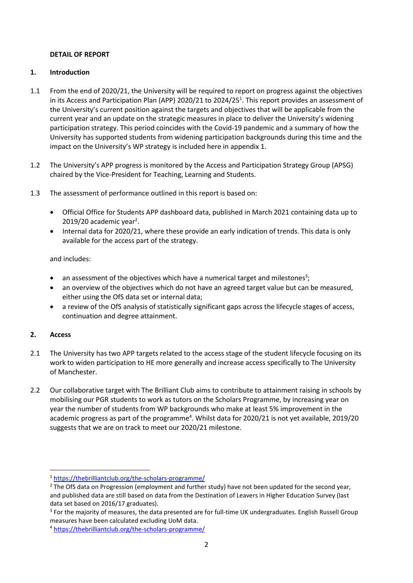### **DETAIL OF REPORT**

## **1. Introduction**

- 1.1 From the end of 2020/21, the University will be required to report on progress against the objectives in its Access and Participation Plan (APP) 2020/21 to 2024/25<sup>1</sup>. This report provides an assessment of the University's current position against the targets and objectives that will be applicable from the current year and an update on the strategic measures in place to deliver the University's widening participation strategy. This period coincides with the Covid-19 pandemic and a summary of how the University has supported students from widening participation backgrounds during this time and the impact on the University's WP strategy is included here in appendix 1.
- 1.2 The University's APP progress is monitored by the Access and Participation Strategy Group (APSG) chaired by the Vice-President for Teaching, Learning and Students.
- 1.3 The assessment of performance outlined in this report is based on:
	- Official Office for Students APP dashboard data, published in March 2021 containing data up to  $2019/20$  academic year<sup>2</sup>.
	- Internal data for 2020/21, where these provide an early indication of trends. This data is only available for the access part of the strategy.

and includes:

- $\bullet$  an assessment of the objectives which have a numerical target and milestones<sup>3</sup>;
- an overview of the objectives which do not have an agreed target value but can be measured, either using the OfS data set or internal data;
- a review of the OfS analysis of statistically significant gaps across the lifecycle stages of access, continuation and degree attainment.

# **2. Access**

1

- 2.1 The University has two APP targets related to the access stage of the student lifecycle focusing on its work to widen participation to HE more generally and increase access specifically to The University of Manchester.
- 2.2 Our collaborative target with The Brilliant Club aims to contribute to attainment raising in schools by mobilising our PGR students to work as tutors on the Scholars Programme, by increasing year on year the number of students from WP backgrounds who make at least 5% improvement in the academic progress as part of the programme<sup>4</sup>. Whilst data for 2020/21 is not yet available, 2019/20 suggests that we are on track to meet our 2020/21 milestone.

<sup>1</sup> <https://thebrilliantclub.org/the-scholars-programme/>

<sup>&</sup>lt;sup>2</sup> The OfS data on Progression (employment and further study) have not been updated for the second year, and published data are still based on data from the Destination of Leavers in Higher Education Survey (last data set based on 2016/17 graduates).

<sup>&</sup>lt;sup>3</sup> For the majority of measures, the data presented are for full-time UK undergraduates. English Russell Group measures have been calculated excluding UoM data.

<sup>4</sup> <https://thebrilliantclub.org/the-scholars-programme/>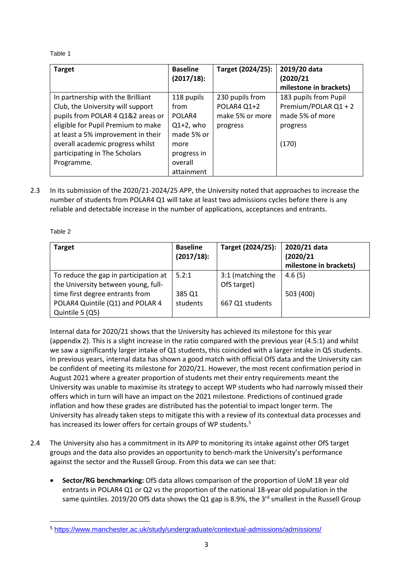## Table 1

| <b>Target</b>                      | <b>Baseline</b> | Target (2024/25): | 2019/20 data           |
|------------------------------------|-----------------|-------------------|------------------------|
|                                    | (2017/18):      |                   | (2020/21)              |
|                                    |                 |                   | milestone in brackets) |
| In partnership with the Brilliant  | 118 pupils      | 230 pupils from   | 183 pupils from Pupil  |
| Club, the University will support  | from            | POLAR4 Q1+2       | Premium/POLAR Q1 + 2   |
| pupils from POLAR 4 Q1&2 areas or  | POLAR4          | make 5% or more   | made 5% of more        |
| eligible for Pupil Premium to make | $Q1+2$ , who    | progress          | progress               |
| at least a 5% improvement in their | made 5% or      |                   |                        |
| overall academic progress whilst   | more            |                   | (170)                  |
| participating in The Scholars      | progress in     |                   |                        |
| Programme.                         | overall         |                   |                        |
|                                    | attainment      |                   |                        |

2.3 In its submission of the 2020/21-2024/25 APP, the University noted that approaches to increase the number of students from POLAR4 Q1 will take at least two admissions cycles before there is any reliable and detectable increase in the number of applications, acceptances and entrants.

Table 2

1

| <b>Target</b>                         | <b>Baseline</b><br>$(2017/18)$ : | Target (2024/25): | 2020/21 data<br>(2020/21) |
|---------------------------------------|----------------------------------|-------------------|---------------------------|
|                                       |                                  |                   | milestone in brackets)    |
| To reduce the gap in participation at | 5.2:1                            | 3:1 (matching the | 4.6(5)                    |
| the University between young, full-   |                                  | OfS target)       |                           |
| time first degree entrants from       | 385 Q1                           |                   | 503 (400)                 |
| POLAR4 Quintile (Q1) and POLAR 4      | students                         | 667 Q1 students   |                           |
| Quintile 5 (Q5)                       |                                  |                   |                           |

Internal data for 2020/21 shows that the University has achieved its milestone for this year (appendix 2). This is a slight increase in the ratio compared with the previous year (4.5:1) and whilst we saw a significantly larger intake of Q1 students, this coincided with a larger intake in Q5 students. In previous years, internal data has shown a good match with official OfS data and the University can be confident of meeting its milestone for 2020/21. However, the most recent confirmation period in August 2021 where a greater proportion of students met their entry requirements meant the University was unable to maximise its strategy to accept WP students who had narrowly missed their offers which in turn will have an impact on the 2021 milestone. Predictions of continued grade inflation and how these grades are distributed has the potential to impact longer term. The University has already taken steps to mitigate this with a review of its contextual data processes and has increased its lower offers for certain groups of WP students.<sup>5</sup>

- 2.4 The University also has a commitment in its APP to monitoring its intake against other OfS target groups and the data also provides an opportunity to bench-mark the University's performance against the sector and the Russell Group. From this data we can see that:
	- **Sector/RG benchmarking:** OfS data allows comparison of the proportion of UoM 18 year old entrants in POLAR4 Q1 or Q2 vs the proportion of the national 18-year old population in the same quintiles. 2019/20 OfS data shows the Q1 gap is 8.9%, the 3 $^{rd}$  smallest in the Russell Group

<sup>5</sup> <https://www.manchester.ac.uk/study/undergraduate/contextual-admissions/admissions/>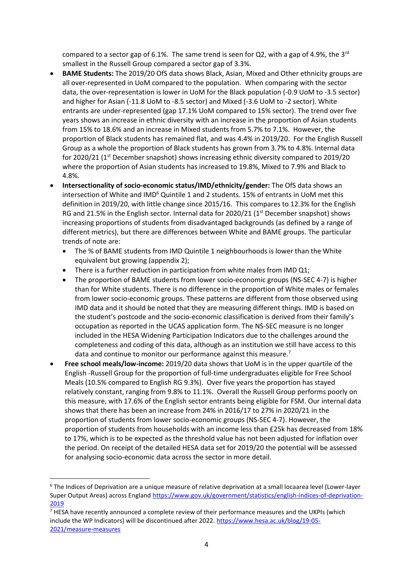compared to a sector gap of 6.1%. The same trend is seen for Q2, with a gap of 4.9%, the 3<sup>rd</sup> smallest in the Russell Group compared a sector gap of 3.3%.

- **BAME Students:** The 2019/20 OfS data shows Black, Asian, Mixed and Other ethnicity groups are all over-represented in UoM compared to the population. When comparing with the sector data, the over-representation is lower in UoM for the Black population (-0.9 UoM to -3.5 sector) and higher for Asian (-11.8 UoM to -8.5 sector) and Mixed (-3.6 UoM to -2 sector). White entrants are under-represented (gap 17.1% UoM compared to 15% sector). The trend over five years shows an increase in ethnic diversity with an increase in the proportion of Asian students from 15% to 18.6% and an increase in Mixed students from 5.7% to 7.1%. However, the proportion of Black students has remained flat, and was 4.4% in 2019/20. For the English Russell Group as a whole the proportion of Black students has grown from 3.7% to 4.8%. Internal data for 2020/21 (1<sup>st</sup> December snapshot) shows increasing ethnic diversity compared to 2019/20 where the proportion of Asian students has increased to 19.8%, Mixed to 7.9% and Black to 4.8%.
- **Intersectionality of socio-economic status/IMD/ethnicity/gender:** The OfS data shows an intersection of White and  $IMD<sup>6</sup>$  Quintile 1 and 2 students. 15% of entrants in UoM met this definition in 2019/20, with little change since 2015/16. This compares to 12.3% for the English RG and 21.5% in the English sector. Internal data for 2020/21 ( $1<sup>st</sup>$  December snapshot) shows increasing proportions of students from disadvantaged backgrounds (as defined by a range of different metrics), but there are differences between White and BAME groups. The particular trends of note are:
	- The % of BAME students from IMD Quintile 1 neighbourhoods is lower than the White equivalent but growing (appendix 2);
	- There is a further reduction in participation from white males from IMD Q1;
	- The proportion of BAME students from lower socio-economic groups (NS-SEC 4-7) is higher than for White students. There is no difference in the proportion of White males or females from lower socio-economic groups. These patterns are different from those observed using IMD data and it should be noted that they are measuring different things. IMD is based on the student's postcode and the socio-economic classification is derived from their family's occupation as reported in the UCAS application form. The NS-SEC measure is no longer included in the HESA Widening Participation Indicators due to the challenges around the completeness and coding of this data, although as an institution we still have access to this data and continue to monitor our performance against this measure.<sup>7</sup>
- **Free school meals/low-income:** 2019/20 data shows that UoM is in the upper quartile of the English -Russell Group for the proportion of full-time undergraduates eligible for Free School Meals (10.5% compared to English RG 9.3%). Over five years the proportion has stayed relatively constant, ranging from 9.8% to 11.1%. Overall the Russell Group performs poorly on this measure, with 17.6% of the English sector entrants being eligible for FSM. Our internal data shows that there has been an increase from 24% in 2016/17 to 27% in 2020/21 in the proportion of students from lower socio-economic groups (NS-SEC 4-7). However, the proportion of students from households with an income less than £25k has decreased from 18% to 17%, which is to be expected as the threshold value has not been adjusted for inflation over the period. On receipt of the detailed HESA data set for 2019/20 the potential will be assessed for analysing socio-economic data across the sector in more detail.

1

<sup>6</sup> The Indices of Deprivation are a unique measure of relative deprivation at a small locaarea level (Lower-layer Super Output Areas) across England [https://www.gov.uk/government/statistics/english-indices-of-deprivation-](https://www.gov.uk/government/statistics/english-indices-of-deprivation-2019)[2019](https://www.gov.uk/government/statistics/english-indices-of-deprivation-2019)

<sup>&</sup>lt;sup>7</sup> HESA have recently announced a complete review of their performance measures and the UKPIs (which include the WP Indicators) will be discontinued after 2022. [https://www.hesa.ac.uk/blog/19-05-](https://www.hesa.ac.uk/blog/19-05-2021/measure-measures) [2021/measure-measures](https://www.hesa.ac.uk/blog/19-05-2021/measure-measures)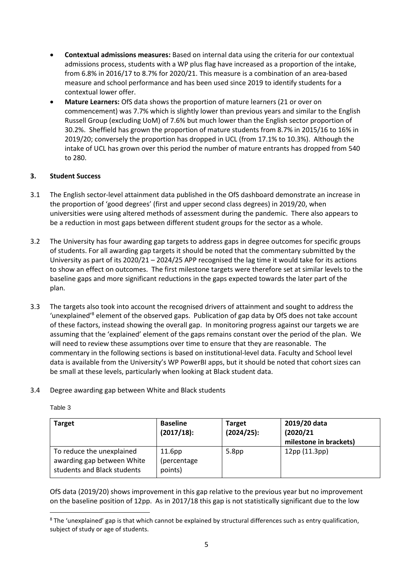- **Contextual admissions measures:** Based on internal data using the criteria for our contextual admissions process, students with a WP plus flag have increased as a proportion of the intake, from 6.8% in 2016/17 to 8.7% for 2020/21. This measure is a combination of an area-based measure and school performance and has been used since 2019 to identify students for a contextual lower offer.
- **Mature Learners:** OfS data shows the proportion of mature learners (21 or over on commencement) was 7.7% which is slightly lower than previous years and similar to the English Russell Group (excluding UoM) of 7.6% but much lower than the English sector proportion of 30.2%. Sheffield has grown the proportion of mature students from 8.7% in 2015/16 to 16% in 2019/20; conversely the proportion has dropped in UCL (from 17.1% to 10.3%). Although the intake of UCL has grown over this period the number of mature entrants has dropped from 540 to 280.

# **3. Student Success**

- 3.1 The English sector-level attainment data published in the OfS dashboard demonstrate an increase in the proportion of 'good degrees' (first and upper second class degrees) in 2019/20, when universities were using altered methods of assessment during the pandemic. There also appears to be a reduction in most gaps between different student groups for the sector as a whole.
- 3.2 The University has four awarding gap targets to address gaps in degree outcomes for specific groups of students. For all awarding gap targets it should be noted that the commentary submitted by the University as part of its 2020/21 – 2024/25 APP recognised the lag time it would take for its actions to show an effect on outcomes. The first milestone targets were therefore set at similar levels to the baseline gaps and more significant reductions in the gaps expected towards the later part of the plan.
- 3.3 The targets also took into account the recognised drivers of attainment and sought to address the 'unexplained'<sup>8</sup> element of the observed gaps. Publication of gap data by OfS does not take account of these factors, instead showing the overall gap. In monitoring progress against our targets we are assuming that the 'explained' element of the gaps remains constant over the period of the plan. We will need to review these assumptions over time to ensure that they are reasonable. The commentary in the following sections is based on institutional-level data. Faculty and School level data is available from the University's WP PowerBI apps, but it should be noted that cohort sizes can be small at these levels, particularly when looking at Black student data.

# 3.4 Degree awarding gap between White and Black students

Table 3

1

| <b>Target</b>                                                                          | <b>Baseline</b><br>(2017/18):                | <b>Target</b><br>(2024/25): | 2019/20 data<br>(2020/21)<br>milestone in brackets) |
|----------------------------------------------------------------------------------------|----------------------------------------------|-----------------------------|-----------------------------------------------------|
| To reduce the unexplained<br>awarding gap between White<br>students and Black students | 11.6 <sub>pp</sub><br>(percentage<br>points) | 5.8 <sub>pp</sub>           | 12pp (11.3pp)                                       |

OfS data (2019/20) shows improvement in this gap relative to the previous year but no improvement on the baseline position of 12pp. As in 2017/18 this gap is not statistically significant due to the low

<sup>8</sup> The 'unexplained' gap is that which cannot be explained by structural differences such as entry qualification, subject of study or age of students.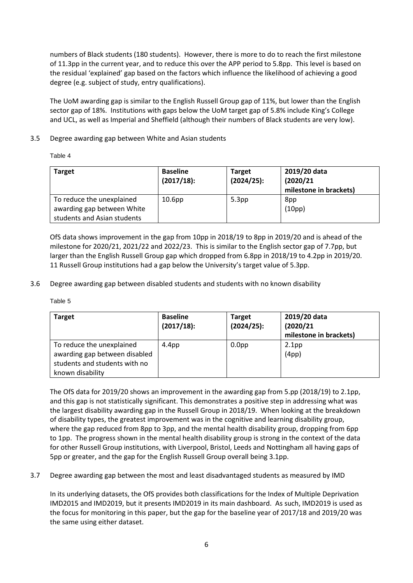numbers of Black students (180 students). However, there is more to do to reach the first milestone of 11.3pp in the current year, and to reduce this over the APP period to 5.8pp. This level is based on the residual 'explained' gap based on the factors which influence the likelihood of achieving a good degree (e.g. subject of study, entry qualifications).

The UoM awarding gap is similar to the English Russell Group gap of 11%, but lower than the English sector gap of 18%. Institutions with gaps below the UoM target gap of 5.8% include King's College and UCL, as well as Imperial and Sheffield (although their numbers of Black students are very low).

## 3.5 Degree awarding gap between White and Asian students

Table 4

| <b>Target</b>                                                                          | <b>Baseline</b><br>(2017/18): | <b>Target</b><br>(2024/25): | 2019/20 data<br>(2020/21)<br>milestone in brackets) |
|----------------------------------------------------------------------------------------|-------------------------------|-----------------------------|-----------------------------------------------------|
| To reduce the unexplained<br>awarding gap between White<br>students and Asian students | 10.6 <sub>pp</sub>            | 5.3 <sub>pp</sub>           | 8pp<br>(10pp)                                       |

OfS data shows improvement in the gap from 10pp in 2018/19 to 8pp in 2019/20 and is ahead of the milestone for 2020/21, 2021/22 and 2022/23. This is similar to the English sector gap of 7.7pp, but larger than the English Russell Group gap which dropped from 6.8pp in 2018/19 to 4.2pp in 2019/20. 11 Russell Group institutions had a gap below the University's target value of 5.3pp.

3.6 Degree awarding gap between disabled students and students with no known disability

Table 5

| <b>Target</b>                                                                                                   | <b>Baseline</b><br>(2017/18): | <b>Target</b><br>(2024/25): | 2019/20 data<br>(2020/21)<br>milestone in brackets) |
|-----------------------------------------------------------------------------------------------------------------|-------------------------------|-----------------------------|-----------------------------------------------------|
| To reduce the unexplained<br>awarding gap between disabled<br>students and students with no<br>known disability | 4.4 <sub>pp</sub>             | 0.0 <sub>pp</sub>           | 2.1 <sub>pp</sub><br>(4pp)                          |

The OfS data for 2019/20 shows an improvement in the awarding gap from 5.pp (2018/19) to 2.1pp, and this gap is not statistically significant. This demonstrates a positive step in addressing what was the largest disability awarding gap in the Russell Group in 2018/19. When looking at the breakdown of disability types, the greatest improvement was in the cognitive and learning disability group, where the gap reduced from 8pp to 3pp, and the mental health disability group, dropping from 6pp to 1pp. The progress shown in the mental health disability group is strong in the context of the data for other Russell Group institutions, with Liverpool, Bristol, Leeds and Nottingham all having gaps of 5pp or greater, and the gap for the English Russell Group overall being 3.1pp.

3.7 Degree awarding gap between the most and least disadvantaged students as measured by IMD

In its underlying datasets, the OfS provides both classifications for the Index of Multiple Deprivation IMD2015 and IMD2019, but it presents IMD2019 in its main dashboard. As such, IMD2019 is used as the focus for monitoring in this paper, but the gap for the baseline year of 2017/18 and 2019/20 was the same using either dataset.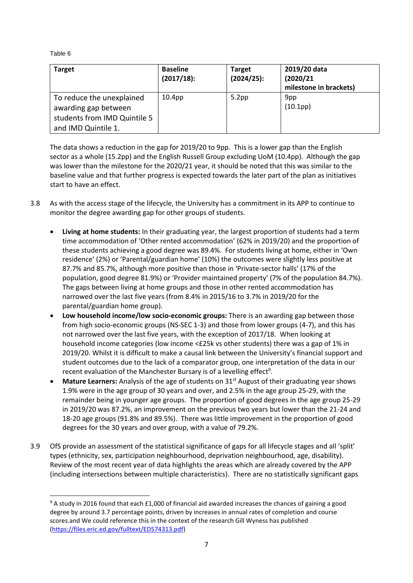Table 6

1

| <b>Target</b>                                                                                            | <b>Baseline</b><br>$(2017/18)$ : | <b>Target</b><br>(2024/25): | 2019/20 data<br>(2020/21)<br>milestone in brackets) |
|----------------------------------------------------------------------------------------------------------|----------------------------------|-----------------------------|-----------------------------------------------------|
| To reduce the unexplained<br>awarding gap between<br>students from IMD Quintile 5<br>and IMD Quintile 1. | 10.4 <sub>pp</sub>               | 5.2 <sub>pp</sub>           | 9pp<br>(10.1pp)                                     |

The data shows a reduction in the gap for 2019/20 to 9pp. This is a lower gap than the English sector as a whole (15.2pp) and the English Russell Group excluding UoM (10.4pp). Although the gap was lower than the milestone for the 2020/21 year, it should be noted that this was similar to the baseline value and that further progress is expected towards the later part of the plan as initiatives start to have an effect.

- 3.8 As with the access stage of the lifecycle, the University has a commitment in its APP to continue to monitor the degree awarding gap for other groups of students.
	- **Living at home students:** In their graduating year, the largest proportion of students had a term time accommodation of 'Other rented accommodation' (62% in 2019/20) and the proportion of these students achieving a good degree was 89.4%. For students living at home, either in 'Own residence' (2%) or 'Parental/guardian home' (10%) the outcomes were slightly less positive at 87.7% and 85.7%, although more positive than those in 'Private-sector halls' (17% of the population, good degree 81.9%) or 'Provider maintained property' (7% of the population 84.7%). The gaps between living at home groups and those in other rented accommodation has narrowed over the last five years (from 8.4% in 2015/16 to 3.7% in 2019/20 for the parental/guardian home group).
	- **Low household income/low socio-economic groups:** There is an awarding gap between those from high socio-economic groups (NS-SEC 1-3) and those from lower groups (4-7), and this has not narrowed over the last five years, with the exception of 2017/18. When looking at household income categories (low income <£25k vs other students) there was a gap of 1% in 2019/20. Whilst it is difficult to make a causal link between the University's financial support and student outcomes due to the lack of a comparator group, one interpretation of the data in our recent evaluation of the Manchester Bursary is of a levelling effect<sup>9</sup>.
	- Mature Learners: Analysis of the age of students on 31<sup>st</sup> August of their graduating year shows 1.9% were in the age group of 30 years and over, and 2.5% in the age group 25-29, with the remainder being in younger age groups. The proportion of good degrees in the age group 25-29 in 2019/20 was 87.2%, an improvement on the previous two years but lower than the 21-24 and 18-20 age groups (91.8% and 89.5%). There was little improvement in the proportion of good degrees for the 30 years and over group, with a value of 79.2%.
- 3.9 OfS provide an assessment of the statistical significance of gaps for all lifecycle stages and all 'split' types (ethnicity, sex, participation neighbourhood, deprivation neighbourhood, age, disability). Review of the most recent year of data highlights the areas which are already covered by the APP (including intersections between multiple characteristics). There are no statistically significant gaps

<sup>&</sup>lt;sup>9</sup> A study in 2016 found that each £1,000 of financial aid awarded increases the chances of gaining a good degree by around 3.7 percentage points, driven by increases in annual rates of completion and course scores.and We could reference this in the context of the research Gill Wyness has published [\(https://files.eric.ed.gov/fulltext/ED574313.pdf\)](https://files.eric.ed.gov/fulltext/ED574313.pdf)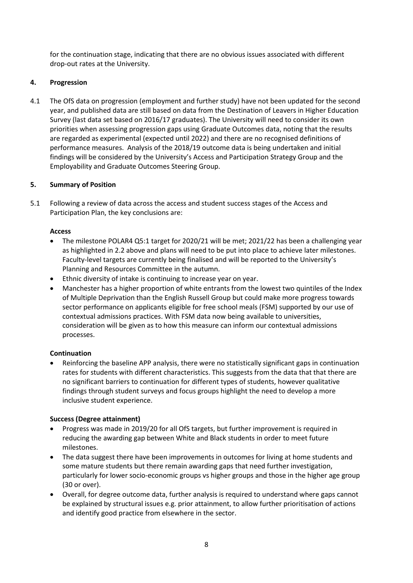for the continuation stage, indicating that there are no obvious issues associated with different drop-out rates at the University.

# **4. Progression**

4.1 The OfS data on progression (employment and further study) have not been updated for the second year, and published data are still based on data from the Destination of Leavers in Higher Education Survey (last data set based on 2016/17 graduates). The University will need to consider its own priorities when assessing progression gaps using Graduate Outcomes data, noting that the results are regarded as experimental (expected until 2022) and there are no recognised definitions of performance measures. Analysis of the 2018/19 outcome data is being undertaken and initial findings will be considered by the University's Access and Participation Strategy Group and the Employability and Graduate Outcomes Steering Group.

## **5. Summary of Position**

5.1 Following a review of data across the access and student success stages of the Access and Participation Plan, the key conclusions are:

### **Access**

- The milestone POLAR4 Q5:1 target for 2020/21 will be met; 2021/22 has been a challenging year as highlighted in 2.2 above and plans will need to be put into place to achieve later milestones. Faculty-level targets are currently being finalised and will be reported to the University's Planning and Resources Committee in the autumn.
- Ethnic diversity of intake is continuing to increase year on year.
- Manchester has a higher proportion of white entrants from the lowest two quintiles of the Index of Multiple Deprivation than the English Russell Group but could make more progress towards sector performance on applicants eligible for free school meals (FSM) supported by our use of contextual admissions practices. With FSM data now being available to universities, consideration will be given as to how this measure can inform our contextual admissions processes.

### **Continuation**

 Reinforcing the baseline APP analysis, there were no statistically significant gaps in continuation rates for students with different characteristics. This suggests from the data that that there are no significant barriers to continuation for different types of students, however qualitative findings through student surveys and focus groups highlight the need to develop a more inclusive student experience.

### **Success (Degree attainment)**

- Progress was made in 2019/20 for all OfS targets, but further improvement is required in reducing the awarding gap between White and Black students in order to meet future milestones.
- The data suggest there have been improvements in outcomes for living at home students and some mature students but there remain awarding gaps that need further investigation, particularly for lower socio-economic groups vs higher groups and those in the higher age group (30 or over).
- Overall, for degree outcome data, further analysis is required to understand where gaps cannot be explained by structural issues e.g. prior attainment, to allow further prioritisation of actions and identify good practice from elsewhere in the sector.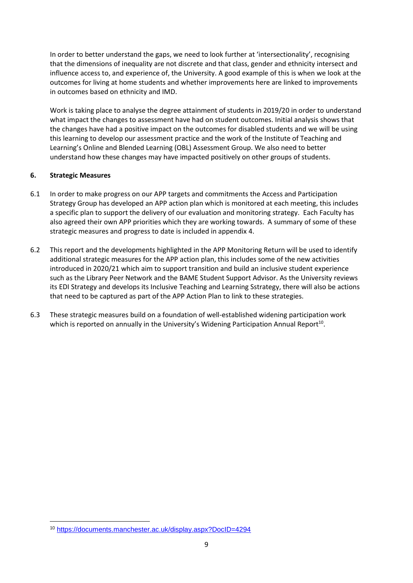In order to better understand the gaps, we need to look further at 'intersectionality', recognising that the dimensions of inequality are not discrete and that class, gender and ethnicity intersect and influence access to, and experience of, the University. A good example of this is when we look at the outcomes for living at home students and whether improvements here are linked to improvements in outcomes based on ethnicity and IMD.

Work is taking place to analyse the degree attainment of students in 2019/20 in order to understand what impact the changes to assessment have had on student outcomes. Initial analysis shows that the changes have had a positive impact on the outcomes for disabled students and we will be using this learning to develop our assessment practice and the work of the Institute of Teaching and Learning's Online and Blended Learning (OBL) Assessment Group. We also need to better understand how these changes may have impacted positively on other groups of students.

## **6. Strategic Measures**

1

- 6.1 In order to make progress on our APP targets and commitments the Access and Participation Strategy Group has developed an APP action plan which is monitored at each meeting, this includes a specific plan to support the delivery of our evaluation and monitoring strategy. Each Faculty has also agreed their own APP priorities which they are working towards. A summary of some of these strategic measures and progress to date is included in appendix 4.
- 6.2 This report and the developments highlighted in the APP Monitoring Return will be used to identify additional strategic measures for the APP action plan, this includes some of the new activities introduced in 2020/21 which aim to support transition and build an inclusive student experience such as the Library Peer Network and the BAME Student Support Advisor. As the University reviews its EDI Strategy and develops its Inclusive Teaching and Learning Sstrategy, there will also be actions that need to be captured as part of the APP Action Plan to link to these strategies.
- 6.3 These strategic measures build on a foundation of well-established widening participation work which is reported on annually in the University's Widening Participation Annual Report<sup>10</sup>.

<sup>10</sup> <https://documents.manchester.ac.uk/display.aspx?DocID=4294>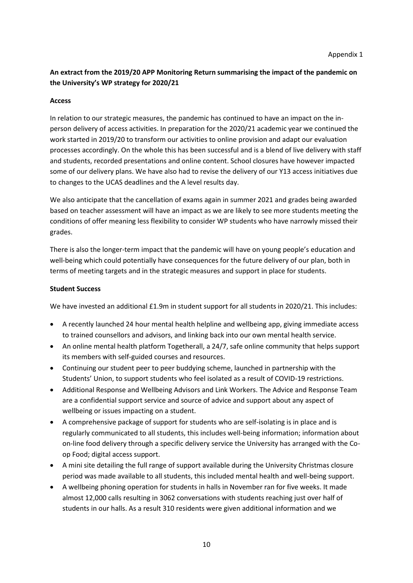# **An extract from the 2019/20 APP Monitoring Return summarising the impact of the pandemic on the University's WP strategy for 2020/21**

## **Access**

In relation to our strategic measures, the pandemic has continued to have an impact on the inperson delivery of access activities. In preparation for the 2020/21 academic year we continued the work started in 2019/20 to transform our activities to online provision and adapt our evaluation processes accordingly. On the whole this has been successful and is a blend of live delivery with staff and students, recorded presentations and online content. School closures have however impacted some of our delivery plans. We have also had to revise the delivery of our Y13 access initiatives due to changes to the UCAS deadlines and the A level results day.

We also anticipate that the cancellation of exams again in summer 2021 and grades being awarded based on teacher assessment will have an impact as we are likely to see more students meeting the conditions of offer meaning less flexibility to consider WP students who have narrowly missed their grades.

There is also the longer-term impact that the pandemic will have on young people's education and well-being which could potentially have consequences for the future delivery of our plan, both in terms of meeting targets and in the strategic measures and support in place for students.

## **Student Success**

We have invested an additional £1.9m in student support for all students in 2020/21. This includes:

- A recently launched 24 hour mental health helpline and wellbeing app, giving immediate access to trained counsellors and advisors, and linking back into our own mental health service.
- An online mental health platform Togetherall, a 24/7, safe online community that helps support its members with self-guided courses and resources.
- Continuing our student peer to peer buddying scheme, launched in partnership with the Students' Union, to support students who feel isolated as a result of COVID-19 restrictions.
- Additional Response and Wellbeing Advisors and Link Workers. The Advice and Response Team are a confidential support service and source of advice and support about any aspect of wellbeing or issues impacting on a student.
- A comprehensive package of support for students who are self-isolating is in place and is regularly communicated to all students, this includes well-being information; information about on-line food delivery through a specific delivery service the University has arranged with the Coop Food; digital access support.
- A mini site detailing the full range of support available during the University Christmas closure period was made available to all students, this included mental health and well-being support.
- A wellbeing phoning operation for students in halls in November ran for five weeks. It made almost 12,000 calls resulting in 3062 conversations with students reaching just over half of students in our halls. As a result 310 residents were given additional information and we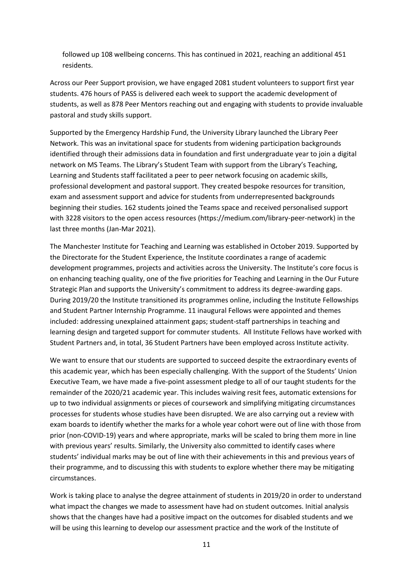followed up 108 wellbeing concerns. This has continued in 2021, reaching an additional 451 residents.

Across our Peer Support provision, we have engaged 2081 student volunteers to support first year students. 476 hours of PASS is delivered each week to support the academic development of students, as well as 878 Peer Mentors reaching out and engaging with students to provide invaluable pastoral and study skills support.

Supported by the Emergency Hardship Fund, the University Library launched the Library Peer Network. This was an invitational space for students from widening participation backgrounds identified through their admissions data in foundation and first undergraduate year to join a digital network on MS Teams. The Library's Student Team with support from the Library's Teaching, Learning and Students staff facilitated a peer to peer network focusing on academic skills, professional development and pastoral support. They created bespoke resources for transition, exam and assessment support and advice for students from underrepresented backgrounds beginning their studies. 162 students joined the Teams space and received personalised support with 3228 visitors to the open access resources (https://medium.com/library-peer-network) in the last three months (Jan-Mar 2021).

The Manchester Institute for Teaching and Learning was established in October 2019. Supported by the Directorate for the Student Experience, the Institute coordinates a range of academic development programmes, projects and activities across the University. The Institute's core focus is on enhancing teaching quality, one of the five priorities for Teaching and Learning in the Our Future Strategic Plan and supports the University's commitment to address its degree-awarding gaps. During 2019/20 the Institute transitioned its programmes online, including the Institute Fellowships and Student Partner Internship Programme. 11 inaugural Fellows were appointed and themes included: addressing unexplained attainment gaps; student-staff partnerships in teaching and learning design and targeted support for commuter students. All Institute Fellows have worked with Student Partners and, in total, 36 Student Partners have been employed across Institute activity.

We want to ensure that our students are supported to succeed despite the extraordinary events of this academic year, which has been especially challenging. With the support of the Students' Union Executive Team, we have made a five-point assessment pledge to all of our taught students for the remainder of the 2020/21 academic year. This includes waiving resit fees, automatic extensions for up to two individual assignments or pieces of coursework and simplifying mitigating circumstances processes for students whose studies have been disrupted. We are also carrying out a review with exam boards to identify whether the marks for a whole year cohort were out of line with those from prior (non-COVID-19) years and where appropriate, marks will be scaled to bring them more in line with previous years' results. Similarly, the University also committed to identify cases where students' individual marks may be out of line with their achievements in this and previous years of their programme, and to discussing this with students to explore whether there may be mitigating circumstances.

Work is taking place to analyse the degree attainment of students in 2019/20 in order to understand what impact the changes we made to assessment have had on student outcomes. Initial analysis shows that the changes have had a positive impact on the outcomes for disabled students and we will be using this learning to develop our assessment practice and the work of the Institute of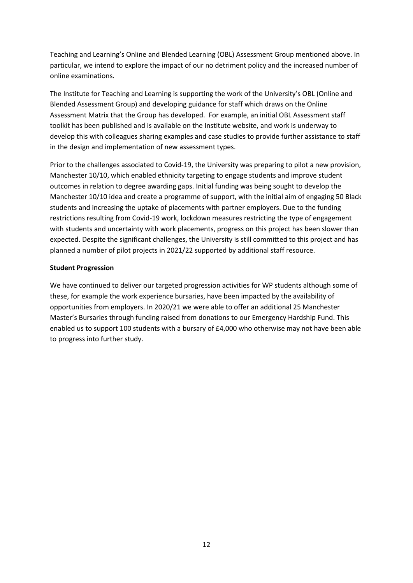Teaching and Learning's Online and Blended Learning (OBL) Assessment Group mentioned above. In particular, we intend to explore the impact of our no detriment policy and the increased number of online examinations.

The Institute for Teaching and Learning is supporting the work of the University's OBL (Online and Blended Assessment Group) and developing guidance for staff which draws on the Online Assessment Matrix that the Group has developed. For example, an initial OBL Assessment staff toolkit has been published and is available on the Institute website, and work is underway to develop this with colleagues sharing examples and case studies to provide further assistance to staff in the design and implementation of new assessment types.

Prior to the challenges associated to Covid-19, the University was preparing to pilot a new provision, Manchester 10/10, which enabled ethnicity targeting to engage students and improve student outcomes in relation to degree awarding gaps. Initial funding was being sought to develop the Manchester 10/10 idea and create a programme of support, with the initial aim of engaging 50 Black students and increasing the uptake of placements with partner employers. Due to the funding restrictions resulting from Covid-19 work, lockdown measures restricting the type of engagement with students and uncertainty with work placements, progress on this project has been slower than expected. Despite the significant challenges, the University is still committed to this project and has planned a number of pilot projects in 2021/22 supported by additional staff resource.

## **Student Progression**

We have continued to deliver our targeted progression activities for WP students although some of these, for example the work experience bursaries, have been impacted by the availability of opportunities from employers. In 2020/21 we were able to offer an additional 25 Manchester Master's Bursaries through funding raised from donations to our Emergency Hardship Fund. This enabled us to support 100 students with a bursary of £4,000 who otherwise may not have been able to progress into further study.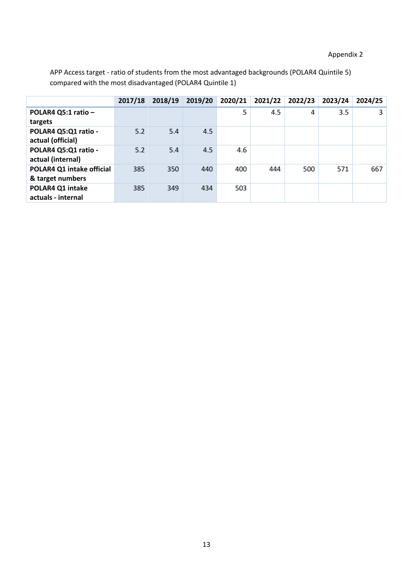# Appendix 2

APP Access target - ratio of students from the most advantaged backgrounds (POLAR4 Quintile 5) compared with the most disadvantaged (POLAR4 Quintile 1)

|                                               | 2017/18 | 2018/19 | 2019/20 | 2020/21 | 2021/22 | 2022/23 | 2023/24 | 2024/25 |
|-----------------------------------------------|---------|---------|---------|---------|---------|---------|---------|---------|
| POLAR4 Q5:1 ratio -<br>targets                |         |         |         | 5       | 4.5     | 4       | 3.5     | 3       |
| POLAR4 Q5:Q1 ratio -<br>actual (official)     | 5.2     | 5.4     | 4.5     |         |         |         |         |         |
| POLAR4 Q5:Q1 ratio -<br>actual (internal)     | 5.2     | 5.4     | 4.5     | 4.6     |         |         |         |         |
| POLAR4 Q1 intake official<br>& target numbers | 385     | 350     | 440     | 400     | 444     | 500     | 571     | 667     |
| POLAR4 Q1 intake<br>actuals - internal        | 385     | 349     | 434     | 503     |         |         |         |         |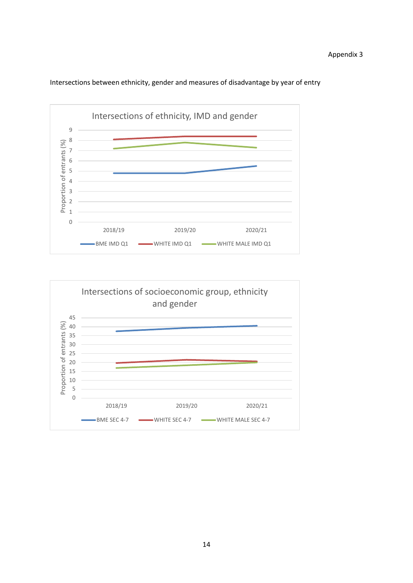

Intersections between ethnicity, gender and measures of disadvantage by year of entry

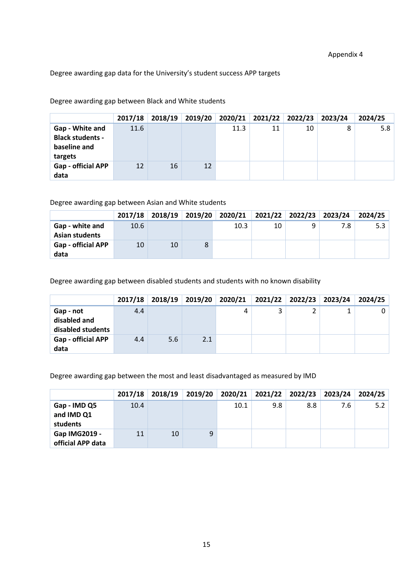Degree awarding gap data for the University's student success APP targets

Degree awarding gap between Black and White students

|                                                                       | 2017/18 | 2018/19 | 2019/20 |      |    | 2020/21 2021/22 2022/23 | 2023/24 | 2024/25 |
|-----------------------------------------------------------------------|---------|---------|---------|------|----|-------------------------|---------|---------|
| Gap - White and<br><b>Black students -</b><br>baseline and<br>targets | 11.6    |         |         | 11.3 | 11 | 10                      | 8       | 5.8     |
| Gap - official APP<br>data                                            | 12      | 16      | 12      |      |    |                         |         |         |

Degree awarding gap between Asian and White students

|                                          | 2017/18 |    |   | 2018/19 2019/20 2020/21 | 2021/22   2022/23   2023/24 |     | 2024/25 |
|------------------------------------------|---------|----|---|-------------------------|-----------------------------|-----|---------|
| Gap - white and<br><b>Asian students</b> | 10.6    |    |   | 10.3                    | 10                          | 7.8 | 5.3     |
| <b>Gap - official APP</b><br>data        | 10      | 10 | 8 |                         |                             |     |         |

Degree awarding gap between disabled students and students with no known disability

|                                   | 2017/18 | 2018/19 | 2019/20 | 2020/21 | 2021/22 | 2022/23 | 2023/24 | 2024/25 |
|-----------------------------------|---------|---------|---------|---------|---------|---------|---------|---------|
| Gap - not                         | 4.4     |         |         | Δ       | 3       |         |         |         |
| disabled and<br>disabled students |         |         |         |         |         |         |         |         |
| <b>Gap - official APP</b><br>data | 4.4     | 5.6     | 2.1     |         |         |         |         |         |

Degree awarding gap between the most and least disadvantaged as measured by IMD

|                        | 2017/18 | 2018/19 | 2019/20 | 2020/21 | 2021/22 2022/23 |     | 2023/24 | 2024/25 |
|------------------------|---------|---------|---------|---------|-----------------|-----|---------|---------|
| Gap - IMD Q5           | 10.4    |         |         | 10.1    | 9.8             | 8.8 | 7.6     | 5.2     |
| and IMD Q1<br>students |         |         |         |         |                 |     |         |         |
| Gap IMG2019 -          | 11      | 10      | 9       |         |                 |     |         |         |
| official APP data      |         |         |         |         |                 |     |         |         |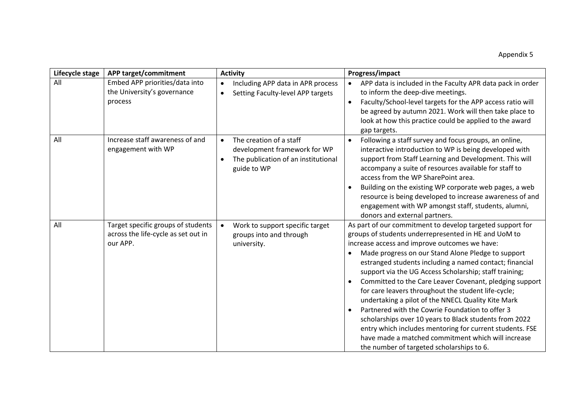| Lifecycle stage | APP target/commitment                                                                 | <b>Activity</b>                                                                                                            | Progress/impact                                                                                                                                                                                                                                                                                                                                                                                                                                                                                                                                                                                                                                                                                                                                                                                   |
|-----------------|---------------------------------------------------------------------------------------|----------------------------------------------------------------------------------------------------------------------------|---------------------------------------------------------------------------------------------------------------------------------------------------------------------------------------------------------------------------------------------------------------------------------------------------------------------------------------------------------------------------------------------------------------------------------------------------------------------------------------------------------------------------------------------------------------------------------------------------------------------------------------------------------------------------------------------------------------------------------------------------------------------------------------------------|
| All             | Embed APP priorities/data into<br>the University's governance<br>process              | Including APP data in APR process<br>$\bullet$<br>Setting Faculty-level APP targets<br>$\bullet$                           | APP data is included in the Faculty APR data pack in order<br>$\bullet$<br>to inform the deep-dive meetings.<br>Faculty/School-level targets for the APP access ratio will<br>be agreed by autumn 2021. Work will then take place to<br>look at how this practice could be applied to the award<br>gap targets.                                                                                                                                                                                                                                                                                                                                                                                                                                                                                   |
| All             | Increase staff awareness of and<br>engagement with WP                                 | The creation of a staff<br>$\bullet$<br>development framework for WP<br>The publication of an institutional<br>guide to WP | Following a staff survey and focus groups, an online,<br>interactive introduction to WP is being developed with<br>support from Staff Learning and Development. This will<br>accompany a suite of resources available for staff to<br>access from the WP SharePoint area.<br>Building on the existing WP corporate web pages, a web<br>resource is being developed to increase awareness of and<br>engagement with WP amongst staff, students, alumni,<br>donors and external partners.                                                                                                                                                                                                                                                                                                           |
| All             | Target specific groups of students<br>across the life-cycle as set out in<br>our APP. | Work to support specific target<br>$\bullet$<br>groups into and through<br>university.                                     | As part of our commitment to develop targeted support for<br>groups of students underrepresented in HE and UoM to<br>increase access and improve outcomes we have:<br>Made progress on our Stand Alone Pledge to support<br>estranged students including a named contact; financial<br>support via the UG Access Scholarship; staff training;<br>Committed to the Care Leaver Covenant, pledging support<br>for care leavers throughout the student life-cycle;<br>undertaking a pilot of the NNECL Quality Kite Mark<br>Partnered with the Cowrie Foundation to offer 3<br>scholarships over 10 years to Black students from 2022<br>entry which includes mentoring for current students. FSE<br>have made a matched commitment which will increase<br>the number of targeted scholarships to 6. |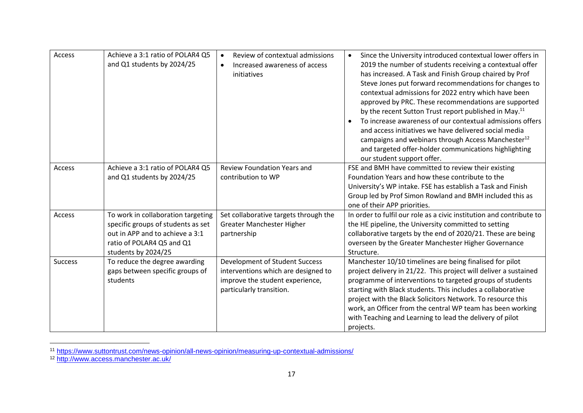| Access  | Achieve a 3:1 ratio of POLAR4 Q5<br>and Q1 students by 2024/25                                                                                                  | Review of contextual admissions<br>$\bullet$<br>Increased awareness of access<br>$\bullet$<br>initiatives                                   | Since the University introduced contextual lower offers in<br>2019 the number of students receiving a contextual offer<br>has increased. A Task and Finish Group chaired by Prof<br>Steve Jones put forward recommendations for changes to<br>contextual admissions for 2022 entry which have been<br>approved by PRC. These recommendations are supported<br>by the recent Sutton Trust report published in May. <sup>11</sup><br>To increase awareness of our contextual admissions offers<br>and access initiatives we have delivered social media<br>campaigns and webinars through Access Manchester <sup>12</sup><br>and targeted offer-holder communications highlighting<br>our student support offer. |
|---------|-----------------------------------------------------------------------------------------------------------------------------------------------------------------|---------------------------------------------------------------------------------------------------------------------------------------------|----------------------------------------------------------------------------------------------------------------------------------------------------------------------------------------------------------------------------------------------------------------------------------------------------------------------------------------------------------------------------------------------------------------------------------------------------------------------------------------------------------------------------------------------------------------------------------------------------------------------------------------------------------------------------------------------------------------|
| Access  | Achieve a 3:1 ratio of POLAR4 Q5<br>and Q1 students by 2024/25                                                                                                  | <b>Review Foundation Years and</b><br>contribution to WP                                                                                    | FSE and BMH have committed to review their existing<br>Foundation Years and how these contribute to the<br>University's WP intake. FSE has establish a Task and Finish<br>Group led by Prof Simon Rowland and BMH included this as<br>one of their APP priorities.                                                                                                                                                                                                                                                                                                                                                                                                                                             |
| Access  | To work in collaboration targeting<br>specific groups of students as set<br>out in APP and to achieve a 3:1<br>ratio of POLAR4 Q5 and Q1<br>students by 2024/25 | Set collaborative targets through the<br>Greater Manchester Higher<br>partnership                                                           | In order to fulfil our role as a civic institution and contribute to<br>the HE pipeline, the University committed to setting<br>collaborative targets by the end of 2020/21. These are being<br>overseen by the Greater Manchester Higher Governance<br>Structure.                                                                                                                                                                                                                                                                                                                                                                                                                                             |
| Success | To reduce the degree awarding<br>gaps between specific groups of<br>students                                                                                    | <b>Development of Student Success</b><br>interventions which are designed to<br>improve the student experience,<br>particularly transition. | Manchester 10/10 timelines are being finalised for pilot<br>project delivery in 21/22. This project will deliver a sustained<br>programme of interventions to targeted groups of students<br>starting with Black students. This includes a collaborative<br>project with the Black Solicitors Network. To resource this<br>work, an Officer from the central WP team has been working<br>with Teaching and Learning to lead the delivery of pilot<br>projects.                                                                                                                                                                                                                                                 |

<sup>11</sup> <https://www.suttontrust.com/news-opinion/all-news-opinion/measuring-up-contextual-admissions/>

 $\overline{a}$ 

<sup>12</sup> <http://www.access.manchester.ac.uk/>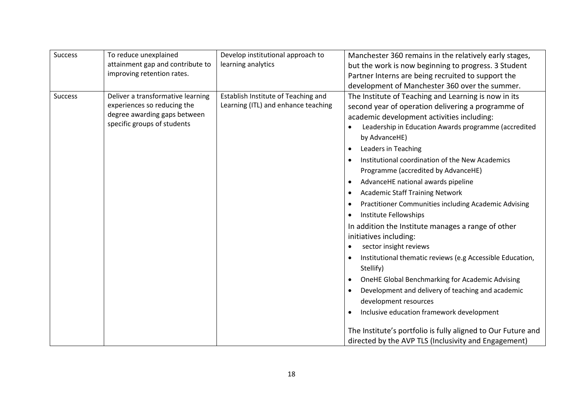| Success | To reduce unexplained<br>attainment gap and contribute to<br>improving retention rates.                                         | Develop institutional approach to<br>learning analytics                    | Manchester 360 remains in the relatively early stages,<br>but the work is now beginning to progress. 3 Student<br>Partner Interns are being recruited to support the                                                                                                                                                                                                                                                                                                                                                                                                                                                                                                                                                                                                                                                                                                                                                                                                                                                                                                                                                                                                |
|---------|---------------------------------------------------------------------------------------------------------------------------------|----------------------------------------------------------------------------|---------------------------------------------------------------------------------------------------------------------------------------------------------------------------------------------------------------------------------------------------------------------------------------------------------------------------------------------------------------------------------------------------------------------------------------------------------------------------------------------------------------------------------------------------------------------------------------------------------------------------------------------------------------------------------------------------------------------------------------------------------------------------------------------------------------------------------------------------------------------------------------------------------------------------------------------------------------------------------------------------------------------------------------------------------------------------------------------------------------------------------------------------------------------|
| Success | Deliver a transformative learning<br>experiences so reducing the<br>degree awarding gaps between<br>specific groups of students | Establish Institute of Teaching and<br>Learning (ITL) and enhance teaching | development of Manchester 360 over the summer.<br>The Institute of Teaching and Learning is now in its<br>second year of operation delivering a programme of<br>academic development activities including:<br>Leadership in Education Awards programme (accredited<br>$\bullet$<br>by AdvanceHE)<br>Leaders in Teaching<br>$\bullet$<br>Institutional coordination of the New Academics<br>$\bullet$<br>Programme (accredited by AdvanceHE)<br>AdvanceHE national awards pipeline<br>$\bullet$<br><b>Academic Staff Training Network</b><br>$\bullet$<br>Practitioner Communities including Academic Advising<br>$\bullet$<br>Institute Fellowships<br>$\bullet$<br>In addition the Institute manages a range of other<br>initiatives including:<br>sector insight reviews<br>$\bullet$<br>Institutional thematic reviews (e.g Accessible Education,<br>$\bullet$<br>Stellify)<br>OneHE Global Benchmarking for Academic Advising<br>$\bullet$<br>Development and delivery of teaching and academic<br>$\bullet$<br>development resources<br>Inclusive education framework development<br>$\bullet$<br>The Institute's portfolio is fully aligned to Our Future and |
|         |                                                                                                                                 |                                                                            | directed by the AVP TLS (Inclusivity and Engagement)                                                                                                                                                                                                                                                                                                                                                                                                                                                                                                                                                                                                                                                                                                                                                                                                                                                                                                                                                                                                                                                                                                                |